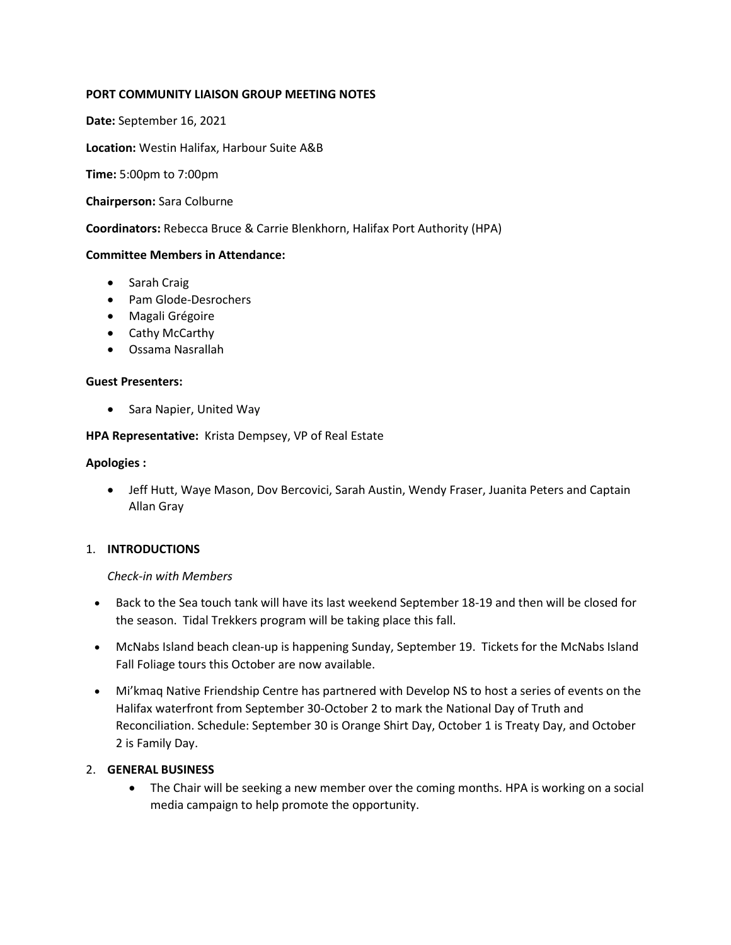## **PORT COMMUNITY LIAISON GROUP MEETING NOTES**

**Date:** September 16, 2021

**Location:** Westin Halifax, Harbour Suite A&B

**Time:** 5:00pm to 7:00pm

**Chairperson:** Sara Colburne

**Coordinators:** Rebecca Bruce & Carrie Blenkhorn, Halifax Port Authority (HPA)

### **Committee Members in Attendance:**

- Sarah Craig
- Pam Glode-Desrochers
- Magali Grégoire
- Cathy McCarthy
- Ossama Nasrallah

#### **Guest Presenters:**

• Sara Napier, United Way

**HPA Representative:** Krista Dempsey, VP of Real Estate

#### **Apologies :**

• Jeff Hutt, Waye Mason, Dov Bercovici, Sarah Austin, Wendy Fraser, Juanita Peters and Captain Allan Gray

### 1. **INTRODUCTIONS**

#### *Check-in with Members*

- Back to the Sea touch tank will have its last weekend September 18-19 and then will be closed for the season. Tidal Trekkers program will be taking place this fall.
- McNabs Island beach clean-up is happening Sunday, September 19. Tickets for the McNabs Island Fall Foliage tours this October are now available.
- Mi'kmaq Native Friendship Centre has partnered with Develop NS to host a series of events on the Halifax waterfront from September 30-October 2 to mark the National Day of Truth and Reconciliation. Schedule: September 30 is Orange Shirt Day, October 1 is Treaty Day, and October 2 is Family Day.

#### 2. **GENERAL BUSINESS**

• The Chair will be seeking a new member over the coming months. HPA is working on a social media campaign to help promote the opportunity.